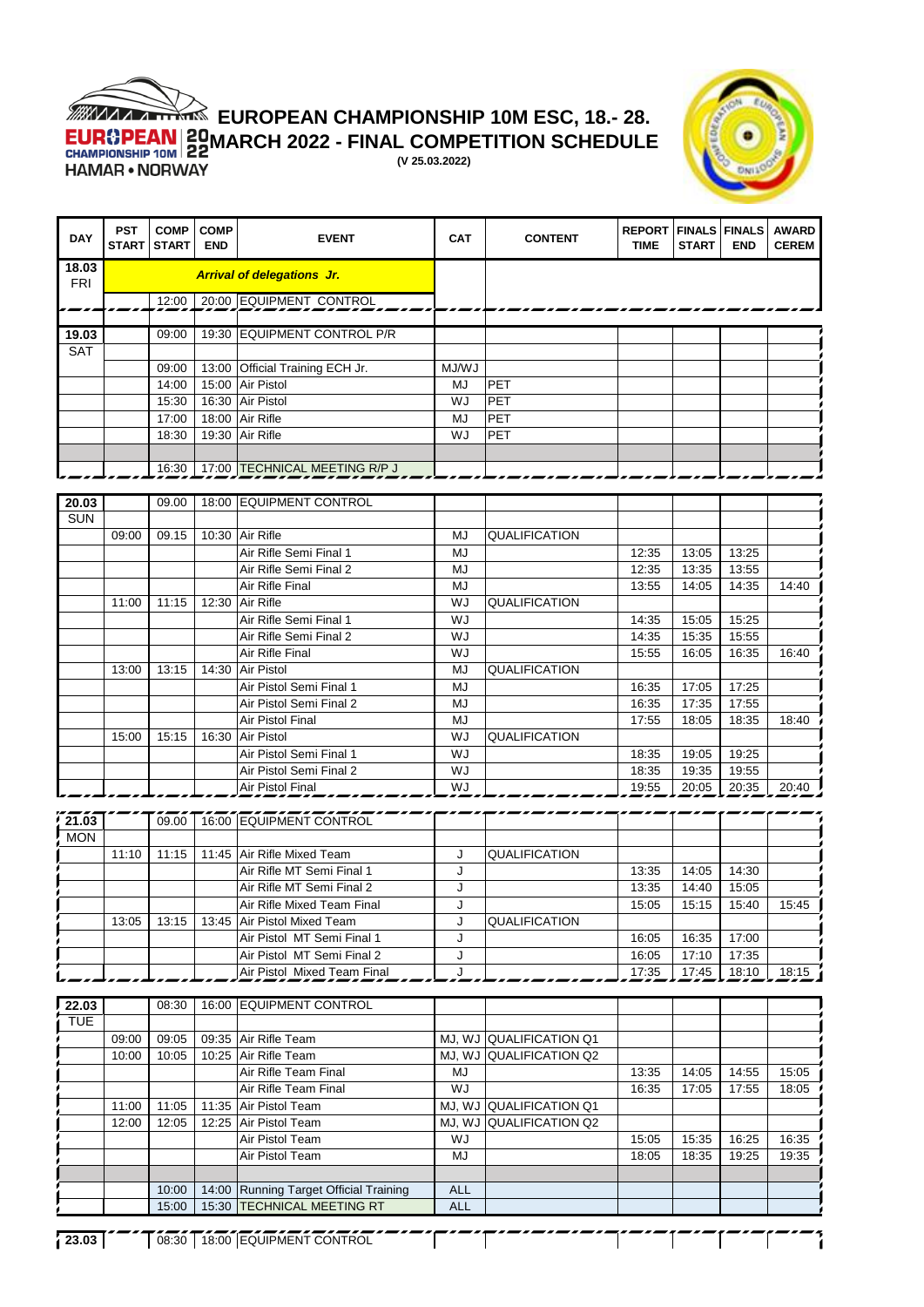

## **EUROPEAN CHAMPIONSHIP 10M ESC, 18.- 28.**

**MARCH 2022 - FINAL COMPETITION SCHEDULE** 

**(V 25.03.2022)**



| <b>DAY</b>          | <b>PST</b><br><b>START</b> | <b>COMP</b><br><b>START</b> | <b>COMP</b><br><b>END</b> | <b>EVENT</b>                                                   | <b>CAT</b>               | <b>CONTENT</b>          | <b>REPORT   FINALS   FINALS</b><br><b>TIME</b> | <b>START</b> | <b>END</b> | <b>AWARD</b><br><b>CEREM</b> |
|---------------------|----------------------------|-----------------------------|---------------------------|----------------------------------------------------------------|--------------------------|-------------------------|------------------------------------------------|--------------|------------|------------------------------|
| 18.03<br><b>FRI</b> |                            |                             |                           | <b>Arrival of delegations Jr.</b>                              |                          |                         |                                                |              |            |                              |
|                     |                            |                             |                           | 12:00   20:00 EQUIPMENT CONTROL                                |                          |                         |                                                |              |            |                              |
|                     |                            | 09:00                       |                           | 19:30 EQUIPMENT CONTROL P/R                                    |                          |                         |                                                |              |            |                              |
| 19.03<br><b>SAT</b> |                            |                             |                           |                                                                |                          |                         |                                                |              |            |                              |
|                     |                            | 09:00                       |                           | 13:00 Official Training ECH Jr.                                | MJ/WJ                    |                         |                                                |              |            |                              |
|                     |                            | 14:00                       | 15:00                     | Air Pistol                                                     | MJ                       | PET                     |                                                |              |            |                              |
|                     |                            | 15:30                       |                           | 16:30 Air Pistol                                               | WJ                       | PET                     |                                                |              |            |                              |
|                     |                            | 17:00                       |                           | 18:00 Air Rifle                                                | <b>MJ</b>                | PET                     |                                                |              |            |                              |
|                     |                            | 18:30                       |                           | 19:30 Air Rifle                                                | WJ                       | PET                     |                                                |              |            |                              |
|                     |                            |                             |                           |                                                                |                          |                         |                                                |              |            |                              |
|                     |                            |                             |                           | 16:30 17:00 TECHNICAL MEETING R/P J                            |                          |                         |                                                |              |            |                              |
| 20.03               |                            | 09.00                       |                           | 18:00 EQUIPMENT CONTROL                                        |                          |                         |                                                |              |            |                              |
| <b>SUN</b>          |                            |                             |                           |                                                                |                          |                         |                                                |              |            |                              |
|                     | 09:00                      | 09.15                       |                           | 10:30 Air Rifle                                                | MJ                       | <b>QUALIFICATION</b>    |                                                |              |            |                              |
|                     |                            |                             |                           | Air Rifle Semi Final 1                                         | <b>MJ</b>                |                         | 12:35                                          | 13:05        | 13:25      |                              |
|                     |                            |                             |                           | Air Rifle Semi Final 2                                         | MJ                       |                         | 12:35                                          | 13:35        | 13:55      |                              |
|                     |                            |                             |                           | Air Rifle Final                                                | MJ                       |                         | 13:55                                          | 14:05        | 14:35      | 14:40                        |
|                     | 11:00                      | 11:15                       |                           | 12:30 Air Rifle                                                | WJ                       | QUALIFICATION           |                                                |              |            |                              |
|                     |                            |                             |                           | Air Rifle Semi Final 1                                         | WJ                       |                         | 14:35                                          | 15:05        | 15:25      |                              |
|                     |                            |                             |                           | Air Rifle Semi Final 2                                         | WJ                       |                         | 14:35                                          | 15:35        | 15:55      |                              |
|                     |                            | 13:15                       |                           | Air Rifle Final<br>14:30 Air Pistol                            | WJ<br>MJ                 | <b>QUALIFICATION</b>    | 15:55                                          | 16:05        | 16:35      | 16:40                        |
|                     | 13:00                      |                             |                           | Air Pistol Semi Final 1                                        | <b>MJ</b>                |                         | 16:35                                          | 17:05        | 17:25      |                              |
|                     |                            |                             |                           | Air Pistol Semi Final 2                                        | MJ                       |                         | 16:35                                          | 17:35        | 17:55      |                              |
|                     |                            |                             |                           | Air Pistol Final                                               | <b>MJ</b>                |                         | 17:55                                          | 18:05        | 18:35      | 18:40                        |
|                     | 15:00                      | 15:15                       | 16:30                     | <b>Air Pistol</b>                                              | WJ                       | <b>QUALIFICATION</b>    |                                                |              |            |                              |
|                     |                            |                             |                           | Air Pistol Semi Final 1                                        | WJ                       |                         | 18:35                                          | 19:05        | 19:25      |                              |
|                     |                            |                             |                           | Air Pistol Semi Final 2                                        | WJ                       |                         | 18:35                                          | 19:35        | 19:55      |                              |
|                     |                            |                             |                           | Air Pistol Final                                               | WJ                       |                         | 19:55                                          | 20:05        | 20:35      | 20:40                        |
|                     |                            |                             |                           |                                                                |                          |                         |                                                |              |            |                              |
| 21.03               |                            | 09.00                       |                           | 16:00 EQUIPMENT CONTROL                                        |                          |                         |                                                |              |            |                              |
| <b>MON</b>          | 11:10                      | 11:15                       |                           | 11:45 Air Rifle Mixed Team                                     | J                        | QUALIFICATION           |                                                |              |            |                              |
|                     |                            |                             |                           | Air Rifle MT Semi Final 1                                      | J                        |                         | 13:35                                          | 14:05        | 14:30      |                              |
|                     |                            |                             |                           | Air Rifle MT Semi Final 2                                      | J                        |                         | 13:35                                          | 14:40        | 15:05      |                              |
|                     |                            |                             |                           | Air Rifle Mixed Team Final                                     | J                        |                         | 15:05                                          | 15:15        | 15:40      | 15:45                        |
|                     | 13:05                      | 13:15                       |                           | 13:45 Air Pistol Mixed Team                                    | J                        | QUALIFICATION           |                                                |              |            |                              |
|                     |                            |                             |                           | Air Pistol MT Semi Final 1                                     | J                        |                         | 16:05                                          | 16:35        | 17:00      |                              |
|                     |                            |                             |                           | Air Pistol MT Semi Final 2                                     | J                        |                         | 16:05                                          | 17:10        | 17:35      |                              |
|                     |                            |                             |                           | Air Pistol Mixed Team Final                                    | J                        |                         | 17:35                                          | 17:45        | 18:10      | 18:15                        |
| 22.03               |                            | 08:30                       |                           | 16:00 EQUIPMENT CONTROL                                        |                          |                         |                                                |              |            |                              |
| <b>TUE</b>          |                            |                             |                           |                                                                |                          |                         |                                                |              |            |                              |
|                     | 09:00                      | 09:05                       |                           | 09:35 Air Rifle Team                                           | MJ, WJ                   | <b>QUALIFICATION Q1</b> |                                                |              |            |                              |
|                     | 10:00                      | 10:05                       |                           | 10:25 Air Rifle Team                                           |                          | MJ, WJ QUALIFICATION Q2 |                                                |              |            |                              |
|                     |                            |                             |                           | Air Rifle Team Final                                           | MJ                       |                         | 13:35                                          | 14:05        | 14:55      | 15:05                        |
|                     |                            |                             |                           | Air Rifle Team Final                                           | WJ                       |                         | 16:35                                          | 17:05        | 17:55      | 18:05                        |
|                     | 11:00                      | 11:05                       |                           | 11:35 Air Pistol Team                                          | MJ, WJ                   | QUALIFICATION Q1        |                                                |              |            |                              |
|                     | 12:00                      | 12:05                       |                           | 12:25 Air Pistol Team                                          |                          | MJ, WJ QUALIFICATION Q2 |                                                |              |            |                              |
|                     |                            |                             |                           | Air Pistol Team                                                | WJ                       |                         | 15:05                                          | 15:35        | 16:25      | 16:35                        |
|                     |                            |                             |                           | Air Pistol Team                                                | MJ                       |                         | 18:05                                          | 18:35        | 19:25      | 19:35                        |
|                     |                            |                             |                           |                                                                |                          |                         |                                                |              |            |                              |
|                     |                            | 10:00<br>15:00              | 14:00                     | Running Target Official Training<br>15:30 TECHNICAL MEETING RT | <b>ALL</b><br><b>ALL</b> |                         |                                                |              |            |                              |
|                     |                            |                             |                           |                                                                |                          |                         |                                                |              |            |                              |
| 123.03              |                            |                             |                           | <b>68:30 18:00 EQUIPMENT CONTROL</b>                           |                          |                         |                                                |              |            |                              |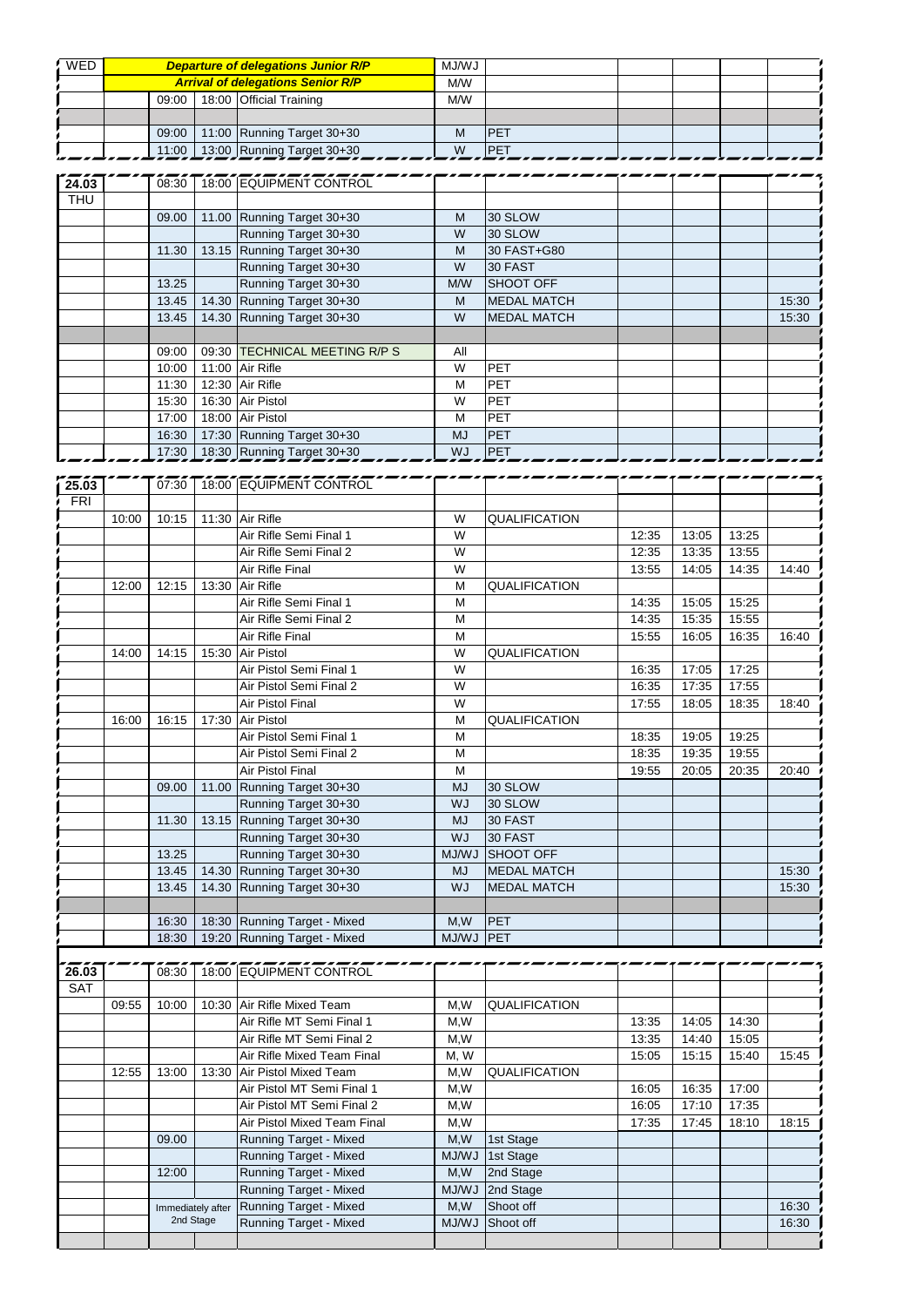| WED        |                                          |  | <b>Departure of delegations Junior R/P</b> | LW/LM |             |  |  |
|------------|------------------------------------------|--|--------------------------------------------|-------|-------------|--|--|
|            | <b>Arrival of delegations Senior R/P</b> |  |                                            |       |             |  |  |
|            |                                          |  | 09:00 18:00 Official Training              | M/W   |             |  |  |
|            |                                          |  |                                            |       |             |  |  |
|            | 09:00                                    |  | 11:00 Running Target 30+30                 | М     | <b>IPET</b> |  |  |
|            |                                          |  | 11:00 13:00 Running Target 30+30           | W     | <b>IPFT</b> |  |  |
|            |                                          |  |                                            |       |             |  |  |
| 24.63      |                                          |  | 08:30 18:00 EQUIPMENT CONTROL              |       |             |  |  |
| <b>THU</b> |                                          |  |                                            |       |             |  |  |

| <b>THU</b> |       |                               |           |                    |  |       |
|------------|-------|-------------------------------|-----------|--------------------|--|-------|
|            | 09.00 | 11.00 Running Target 30+30    | M         | 30 SLOW            |  |       |
|            |       | Running Target 30+30          | W         | 30 SLOW            |  |       |
|            | 11.30 | 13.15 Running Target 30+30    | M         | 30 FAST+G80        |  |       |
|            |       | Running Target 30+30          | W         | 30 FAST            |  |       |
|            | 13.25 | Running Target 30+30          | M/W       | <b>SHOOT OFF</b>   |  |       |
|            | 13.45 | 14.30 Running Target 30+30    | M         | <b>MEDAL MATCH</b> |  | 15:30 |
|            | 13.45 | 14.30 Running Target 30+30    | W         | <b>MEDAL MATCH</b> |  | 15:30 |
|            |       |                               |           |                    |  |       |
|            | 09:00 | 09:30 TECHNICAL MEETING R/P S | All       |                    |  |       |
|            | 10:00 | 11:00 Air Rifle               | W         | <b>PET</b>         |  |       |
|            | 11:30 | 12:30 Air Rifle               | M         | <b>PET</b>         |  |       |
|            | 15:30 | 16:30 Air Pistol              | W         | <b>PET</b>         |  |       |
|            | 17:00 | 18:00 Air Pistol              | М         | <b>PET</b>         |  |       |
|            | 16:30 | 17:30 Running Target 30+30    | <b>MJ</b> | <b>PET</b>         |  |       |
|            | 17:30 | 18:30 Running Target 30+30    | <b>WJ</b> | <b>PET</b>         |  |       |

| 25.03      |       |       |       | 07:30 18:00 EQUIPMENT CONTROL |           |                      |       |       |       |       |
|------------|-------|-------|-------|-------------------------------|-----------|----------------------|-------|-------|-------|-------|
| <b>FRI</b> |       |       |       |                               |           |                      |       |       |       |       |
|            | 10:00 | 10:15 |       | 11:30 Air Rifle               | W         | <b>QUALIFICATION</b> |       |       |       |       |
|            |       |       |       | Air Rifle Semi Final 1        | W         |                      | 12:35 | 13:05 | 13:25 |       |
|            |       |       |       | Air Rifle Semi Final 2        | W         |                      | 12:35 | 13:35 | 13:55 |       |
|            |       |       |       | Air Rifle Final               | W         |                      | 13:55 | 14:05 | 14:35 | 14:40 |
|            | 12:00 | 12:15 | 13:30 | <b>Air Rifle</b>              | M         | <b>QUALIFICATION</b> |       |       |       |       |
|            |       |       |       | Air Rifle Semi Final 1        | M         |                      | 14:35 | 15:05 | 15:25 |       |
|            |       |       |       | Air Rifle Semi Final 2        | M         |                      | 14:35 | 15:35 | 15:55 |       |
|            |       |       |       | Air Rifle Final               | M         |                      | 15:55 | 16:05 | 16:35 | 16:40 |
|            | 14:00 | 14:15 | 15:30 | <b>Air Pistol</b>             | W         | QUALIFICATION        |       |       |       |       |
|            |       |       |       | Air Pistol Semi Final 1       | W         |                      | 16:35 | 17:05 | 17:25 |       |
|            |       |       |       | Air Pistol Semi Final 2       | W         |                      | 16:35 | 17:35 | 17:55 |       |
|            |       |       |       | Air Pistol Final              | W         |                      | 17:55 | 18:05 | 18:35 | 18:40 |
|            | 16:00 | 16:15 | 17:30 | Air Pistol                    | M         | QUALIFICATION        |       |       |       |       |
|            |       |       |       | Air Pistol Semi Final 1       | M         |                      | 18:35 | 19:05 | 19:25 |       |
|            |       |       |       | Air Pistol Semi Final 2       | M         |                      | 18:35 | 19:35 | 19:55 |       |
|            |       |       |       | Air Pistol Final              | M         |                      | 19:55 | 20:05 | 20:35 | 20:40 |
|            |       | 09.00 | 11.00 | Running Target 30+30          | <b>MJ</b> | 30 SLOW              |       |       |       |       |
|            |       |       |       | Running Target 30+30          | <b>WJ</b> | 30 SLOW              |       |       |       |       |
|            |       | 11.30 |       | 13.15 Running Target 30+30    | <b>MJ</b> | 30 FAST              |       |       |       |       |
|            |       |       |       | Running Target 30+30          | <b>WJ</b> | 30 FAST              |       |       |       |       |
|            |       | 13.25 |       | Running Target 30+30          | MJ/WJ     | <b>SHOOT OFF</b>     |       |       |       |       |
|            |       | 13.45 | 14.30 | Running Target 30+30          | <b>MJ</b> | <b>MEDAL MATCH</b>   |       |       |       | 15:30 |
|            |       | 13.45 | 14.30 | Running Target 30+30          | <b>WJ</b> | <b>MEDAL MATCH</b>   |       |       |       | 15:30 |
|            |       |       |       |                               |           |                      |       |       |       |       |
|            |       | 16:30 |       | 18:30 Running Target - Mixed  | M,W       | <b>IPET</b>          |       |       |       |       |
|            |       | 18:30 |       | 19:20 Running Target - Mixed  | MJ/WJ     | <b>IPET</b>          |       |       |       |       |
|            |       |       |       |                               |           |                      |       |       |       |       |
| 26.03      |       |       |       | 08:30 18:00 EQUIPMENT CONTROL |           |                      |       |       |       |       |

| 26.03      |       | <b>08:30</b>      |  | 18:00 EQUIPMENT CONTROL       |              |                      |       |       |       |       |
|------------|-------|-------------------|--|-------------------------------|--------------|----------------------|-------|-------|-------|-------|
| <b>SAT</b> |       |                   |  |                               |              |                      |       |       |       |       |
|            | 09:55 | 10:00             |  | 10:30 Air Rifle Mixed Team    | M,W          | QUALIFICATION        |       |       |       |       |
|            |       |                   |  | Air Rifle MT Semi Final 1     | M.W          |                      | 13:35 | 14:05 | 14:30 |       |
|            |       |                   |  | Air Rifle MT Semi Final 2     | M,W          |                      | 13:35 | 14:40 | 15:05 |       |
|            |       |                   |  | Air Rifle Mixed Team Final    | M, W         |                      | 15:05 | 15:15 | 15:40 | 15:45 |
|            | 12:55 | 13:00             |  | 13:30 Air Pistol Mixed Team   | M,W          | <b>QUALIFICATION</b> |       |       |       |       |
|            |       |                   |  | Air Pistol MT Semi Final 1    | M,W          |                      | 16:05 | 16:35 | 17:00 |       |
|            |       |                   |  | Air Pistol MT Semi Final 2    | M,W          |                      | 16:05 | 17:10 | 17:35 |       |
|            |       |                   |  | Air Pistol Mixed Team Final   | M,W          |                      | 17:35 | 17:45 | 18:10 | 18:15 |
|            |       | 09.00             |  | Running Target - Mixed        | M,W          | 1st Stage            |       |       |       |       |
|            |       |                   |  | <b>Running Target - Mixed</b> | <b>MJ/WJ</b> | 1st Stage            |       |       |       |       |
|            |       | 12:00             |  | Running Target - Mixed        | M,W          | 2nd Stage            |       |       |       |       |
|            |       |                   |  | <b>Running Target - Mixed</b> | <b>LW/LM</b> | 2nd Stage            |       |       |       |       |
|            |       | Immediately after |  | <b>Running Target - Mixed</b> | M,W          | Shoot off            |       |       |       | 16:30 |
|            |       | 2nd Stage         |  | <b>Running Target - Mixed</b> | MJ/WJ        | Shoot off            |       |       |       | 16:30 |
|            |       |                   |  |                               |              |                      |       |       |       |       |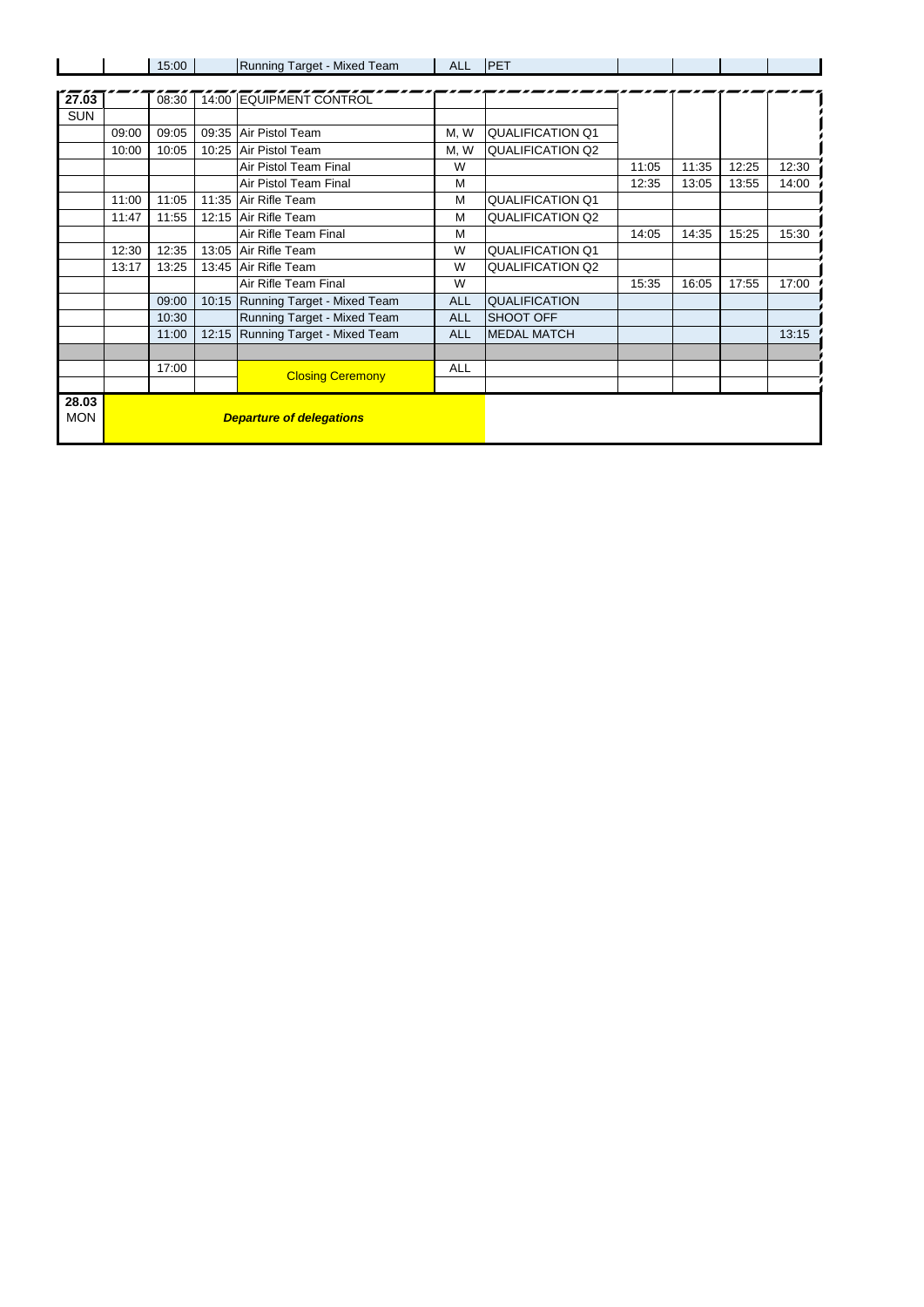|            |                                 | 15:00 |       | Running Target - Mixed Team       | <b>ALL</b> | <b>PET</b>              |       |       |       |       |
|------------|---------------------------------|-------|-------|-----------------------------------|------------|-------------------------|-------|-------|-------|-------|
|            |                                 |       |       |                                   |            |                         |       |       |       |       |
| 27.03      |                                 | 08:30 |       | 14:00 EQUIPMENT CONTROL           |            |                         |       |       |       |       |
| <b>SUN</b> |                                 |       |       |                                   |            |                         |       |       |       |       |
|            | 09:00                           | 09:05 |       | 09:35 Air Pistol Team             | M, W       | <b>QUALIFICATION Q1</b> |       |       |       |       |
|            | 10:00                           | 10:05 | 10:25 | Air Pistol Team                   | M, W       | QUALIFICATION Q2        |       |       |       |       |
|            |                                 |       |       | Air Pistol Team Final             | W          |                         | 11:05 | 11:35 | 12:25 | 12:30 |
|            |                                 |       |       | Air Pistol Team Final             | M          |                         | 12:35 | 13:05 | 13:55 | 14:00 |
|            | 11:00                           | 11:05 |       | 11:35 Air Rifle Team              | M          | <b>QUALIFICATION Q1</b> |       |       |       |       |
|            | 11:47                           | 11:55 |       | 12:15 Air Rifle Team              | M          | <b>QUALIFICATION Q2</b> |       |       |       |       |
|            |                                 |       |       | Air Rifle Team Final              | M          |                         | 14:05 | 14:35 | 15:25 | 15:30 |
|            | 12:30                           | 12:35 |       | 13:05 Air Rifle Team              | W          | QUALIFICATION Q1        |       |       |       |       |
|            | 13:17                           | 13:25 |       | 13:45 Air Rifle Team              | W          | <b>QUALIFICATION Q2</b> |       |       |       |       |
|            |                                 |       |       | Air Rifle Team Final              | W          |                         | 15:35 | 16:05 | 17:55 | 17:00 |
|            |                                 | 09:00 |       | 10:15 Running Target - Mixed Team | <b>ALL</b> | <b>QUALIFICATION</b>    |       |       |       |       |
|            |                                 | 10:30 |       | Running Target - Mixed Team       | <b>ALL</b> | <b>SHOOT OFF</b>        |       |       |       |       |
|            |                                 | 11:00 |       | 12:15 Running Target - Mixed Team | <b>ALL</b> | <b>MEDAL MATCH</b>      |       |       |       | 13:15 |
|            |                                 |       |       |                                   |            |                         |       |       |       |       |
|            |                                 | 17:00 |       | <b>Closing Ceremony</b>           | <b>ALL</b> |                         |       |       |       |       |
|            |                                 |       |       |                                   |            |                         |       |       |       |       |
| 28.03      |                                 |       |       |                                   |            |                         |       |       |       |       |
| <b>MON</b> | <b>Departure of delegations</b> |       |       |                                   |            |                         |       |       |       |       |
|            |                                 |       |       |                                   |            |                         |       |       |       |       |